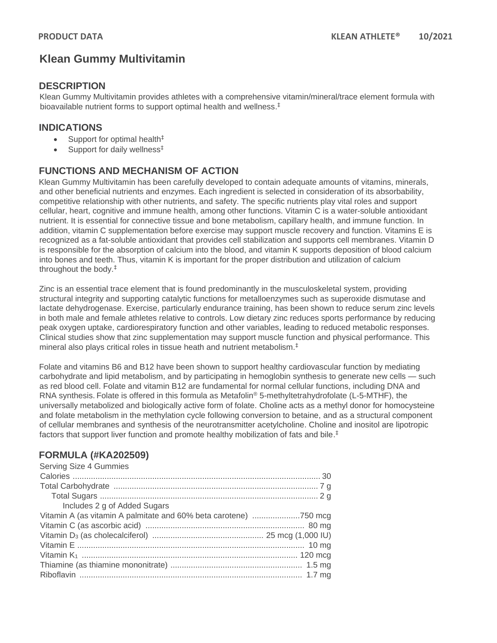# **Klean Gummy Multivitamin**

### **DESCRIPTION**

Klean Gummy Multivitamin provides athletes with a comprehensive vitamin/mineral/trace element formula with bioavailable nutrient forms to support optimal health and wellness. ‡

## **INDICATIONS**

- Support for optimal health<sup>‡</sup>
- Support for daily wellness<sup>‡</sup>

# **FUNCTIONS AND MECHANISM OF ACTION**

Klean Gummy Multivitamin has been carefully developed to contain adequate amounts of vitamins, minerals, and other beneficial nutrients and enzymes. Each ingredient is selected in consideration of its absorbability, competitive relationship with other nutrients, and safety. The specific nutrients play vital roles and support cellular, heart, cognitive and immune health, among other functions. Vitamin C is a water-soluble antioxidant nutrient. It is essential for connective tissue and bone metabolism, capillary health, and immune function. In addition, vitamin C supplementation before exercise may support muscle recovery and function. Vitamins E is recognized as a fat-soluble antioxidant that provides cell stabilization and supports cell membranes. Vitamin D is responsible for the absorption of calcium into the blood, and vitamin K supports deposition of blood calcium into bones and teeth. Thus, vitamin K is important for the proper distribution and utilization of calcium throughout the body.‡

Zinc is an essential trace element that is found predominantly in the musculoskeletal system, providing structural integrity and supporting catalytic functions for metalloenzymes such as superoxide dismutase and lactate dehydrogenase. Exercise, particularly endurance training, has been shown to reduce serum zinc levels in both male and female athletes relative to controls. Low dietary zinc reduces sports performance by reducing peak oxygen uptake, cardiorespiratory function and other variables, leading to reduced metabolic responses. Clinical studies show that zinc supplementation may support muscle function and physical performance. This mineral also plays critical roles in tissue heath and nutrient metabolism.‡

Folate and vitamins B6 and B12 have been shown to support healthy cardiovascular function by mediating carbohydrate and lipid metabolism, and by participating in hemoglobin synthesis to generate new cells — such as red blood cell. Folate and vitamin B12 are fundamental for normal cellular functions, including DNA and RNA synthesis. Folate is offered in this formula as Metafolin® 5-methyltetrahydrofolate (L-5-MTHF), the universally metabolized and biologically active form of folate. Choline acts as a methyl donor for homocysteine and folate metabolism in the methylation cycle following conversion to betaine, and as a structural component of cellular membranes and synthesis of the neurotransmitter acetylcholine. Choline and inositol are lipotropic factors that support liver function and promote healthy mobilization of fats and bile. ‡

# **FORMULA (#KA202509)**

| Vitamin A (as vitamin A palmitate and 60% beta carotene) 750 mcg |
|------------------------------------------------------------------|
|                                                                  |
|                                                                  |
|                                                                  |
|                                                                  |
|                                                                  |
|                                                                  |
|                                                                  |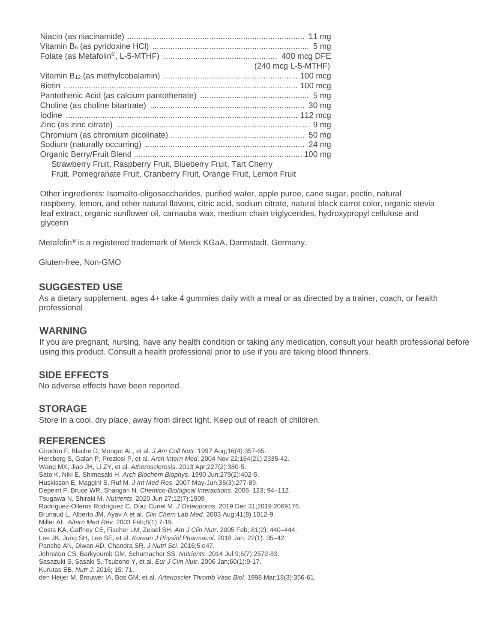|                                                                      | $(240 \text{ mcq L-5-MTHF})$ |
|----------------------------------------------------------------------|------------------------------|
|                                                                      |                              |
|                                                                      |                              |
|                                                                      |                              |
|                                                                      |                              |
|                                                                      |                              |
|                                                                      |                              |
|                                                                      |                              |
|                                                                      |                              |
|                                                                      |                              |
| Strawberry Fruit, Raspberry Fruit, Blueberry Fruit, Tart Cherry      |                              |
| Fruit, Pomegranate Fruit, Cranberry Fruit, Orange Fruit, Lemon Fruit |                              |
|                                                                      |                              |

Other ingredients: Isomalto-oligosaccharides, purified water, apple puree, cane sugar, pectin, natural raspberry, lemon, and other natural flavors, citric acid, sodium citrate, natural black carrot color, organic stevia leaf extract, organic sunflower oil, carnauba wax, medium chain triglycerides, hydroxypropyl cellulose and glycerin

Metafolin® is a registered trademark of Merck KGaA, Darmstadt, Germany.

Gluten-free, Non-GMO

#### **SUGGESTED USE**

As a dietary supplement, ages 4+ take 4 gummies daily with a meal or as directed by a trainer, coach, or health professional.

#### **WARNING**

If you are pregnant, nursing, have any health condition or taking any medication, consult your health professional before using this product. Consult a health professional prior to use if you are taking blood thinners.

#### **SIDE EFFECTS**

No adverse effects have been reported.

#### **STORAGE**

Store in a cool, dry place, away from direct light. Keep out of reach of children.

#### **REFERENCES**

Girodon F, Blache D, Monget AL, et al. *J Am Coll Nutr*. 1997 Aug;16(4):357-65. Hercberg S, Galan P, Preziosi P, et al. *Arch Intern Med*. 2004 Nov 22;164(21):2335-42. Wang MX, Jiao JH, Li ZY, et al. *Atherosclerosis*. 2013 Apr;227(2):380-5. Sato K, Niki E, Shimasaki H. *Arch Biochem Biophys*. 1990 Jun;279(2):402-5. Huskisson E, Maggini S, Ruf M. *J Int Med Res*. 2007 May-Jun;35(3):277-89. Depeint F, Bruce WR, Shangari N. *Chemico-Biological Interactions*. 2006. 123; 94–112. Tsugawa N, Shiraki M. *Nutrients*. 2020 Jun 27;12(7):1909 Rodríguez-Olleros Rodríguez C, Díaz Curiel M. *J Osteoporos*. 2019 Dec 31;2019:2069176. Brunaud L, Alberto JM, Ayav A et al. *Clin Chem Lab Med*. 2003 Aug;41(8):1012-9. Miller AL. *Altern Med Rev*. 2003 Feb;8(1):7-19. Costa KA, Gaffney CE, Fischer LM, Zeisel SH. *Am J Clin Nutr*. 2005 Feb; 81(2): 440–444. Lee JK, Jung SH, Lee SE, et al. *Korean J Physiol Pharmacol*. 2018 Jan; 22(1): 35–42. Panche AN, Diwan AD, Chandra SR. *J Nutri Sci*. 2016;5:e47. Johnston CS, Barkyoumb GM, Schumacher SS. *Nutrients*. 2014 Jul 9;6(7):2572-83. Sasazuki S, Sasaki S, Tsubono Y, et al. *Eur J Clin Nutr*. 2006 Jan;60(1):9-17. Kurutas EB. *Nutr J*. 2016; 15: 71. den Heijer M, Brouwer IA, Bos GM, et al. *Arterioscler Thromb Vasc Biol*. 1998 Mar;18(3):356-61.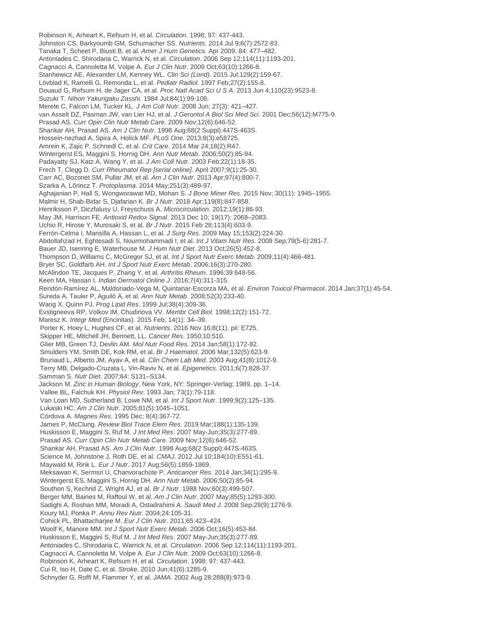Robinson K, Arheart K, Refsum H, et al. *Circulation*. 1998; 97: 437-443. Johnston CS, Barkyoumb GM, Schumacher SS. *Nutrients*. 2014 Jul 9;6(7):2572-83. Tanaka T, Scheet P, Biusti B, et al. *Amer J Hum Genetics.* Apr 2009. 84: 477–482. Antoniades C, Shirodaria C, Warrick N, et al. *Circulation*. 2006 Sep 12;114(11):1193-201. Cagnacci A, Cannoletta M, Volpe A. *Eur J Clin Nutr*. 2009 Oct;63(10):1266-8. Stanhewicz AE, Alexander LM, Kenney WL. *Clin Sci (Lond).* 2015 Jul;129(2):159-67. Lövblad K, Ramelli G, Remonda L, et al. *Pediatr Radiol.* 1997 Feb;27(2):155-8. Douaud G, Refsum H, de Jager CA, et al. *Proc Natl Acad Sci U S A*. 2013 Jun 4;110(23):9523-8. Suzuki T. *Nihon Yakurigaku Zasshi*. 1984 Jul;84(1):99-108. Merete C, Falcon LM, Tucker KL. *J Am Coll Nutr*. 2008 Jun; 27(3): 421–427. van Asselt DZ, Pasman JW, van Lier HJ, et al. *J Gerontol A Biol Sci Med Sci*. 2001 Dec;56(12):M775-9. Prasad AS. *Curr Opin Clin Nutr Metab Care*. 2009 Nov;12(6):646-52. Shankar AH, Prasad AS. *Am J Clin Nutr.* 1998 Aug;68(2 Suppl):447S-463S. Hossein-nezhad A, Spira A, Holick MF. *PLoS One.* 2013;8(3):e58725. Amrein K, Zajic P, Schnedl C, et al. *Crit Care*. 2014 Mar 24;18(2):R47. Wintergerst ES, Maggini S, Hornig DH. *Ann Nutr Metab*. 2006;50(2):85-94. Padayatty SJ, Katz A, Wang Y, et al. *J Am Coll Nutr*. 2003 Feb;22(1):18-35. Frech T, Clegg D. *Curr Rheumatol Rep [serial online].* April 2007;9(1):25-30. Carr AC, Bozonet SM, Pullar JM, et al. *Am J Clin Nutr*. 2013 Apr;97(4):800-7. Szarka A, Lőrincz T. *Protoplasma*. 2014 May;251(3):489-97. Aghajanian P, Hall S, Wongworawat MD, Mohan S. *J Bone Miner Res*. 2015 Nov; 30(11): 1945–1955. Malmir H, Shab-Bidar S, Djafarian K. *Br J Nutr*. 2018 Apr;119(8):847-858. Henriksson P, Diczfalusy U, Freyschuss A. *Microcirculation.* 2012;19(1):86-93. May JM, Harrison FE. *Antioxid Redox Signal*. 2013 Dec 10; 19(17): 2068–2083. Uchio R, Hirose Y, Murosaki S, et al. *Br J Nutr*. 2015 Feb 28;113(4):603-9. Ferrón-Celma I, Mansilla A, Hassan L, et al. *J Surg Res*. 2009 May 15;153(2):224-30. Abdollahzad H, Eghtesadi S, Nourmohammadi I, et al. *Int J Vitam Nutr Res*. 2009 Sep;79(5-6):281-7. Bauer JD, Isenring E, Waterhouse M. *J Hum Nutr Diet*. 2013 Oct;26(5):452-8. Thompson D, Williams C, McGregor SJ, et al. *Int J Sport Nutr Exerc Metab*. 2009;11(4):466-481. Bryer SC, Goldfarb AH. *Int J Sport Nutr Exerc Metab*. 2006;16(3):270-280. McAlindon TE, Jacques P, Zhang Y, et al. *Arthritis Rheum*. 1996;39:648-56. Keen MA, Hassan I. *Indian Dermatol Online J*. 2016;7(4):311-315. Rendón-Ramírez AL, Maldonado-Vega M, Quintanar-Escorza MA, et al. *Environ Toxicol Pharmacol*. 2014 Jan;37(1):45-54. Sureda A, Tauler P, Aguiló A, et al. *Ann Nutr Metab*. 2008;52(3):233-40. Wang X, Quinn PJ. *Prog Lipid Res*. 1999 Jul;38(4):309-36. Evstigneeva RP, Volkov IM, Chudinova VV. *Membr Cell Biol.* 1998;12(2):151-72. Maresz K. *Integr Med* (Encinitas). 2015 Feb; 14(1): 34–39. Porter K, Hoey L, Hughes CF, et al. *Nutrients*. 2016 Nov 16;8(11). pii: E725. Skipper HE, Mitchell JH, Bennett, LL. *Cancer Res*. 1950;10:510. Glier MB, Green TJ, Devlin AM. *Mol Nutr Food Res*. 2014 Jan;58(1):172-82. Smulders YM, Smith DE, Kok RM, et al. *Br J Haematol*. 2006 Mar;132(5):623-9. Brunaud L, Alberto JM, Ayav A, et al. *Clin Chem Lab Med*. 2003 Aug;41(8):1012-9. Terry MB, Delgado-Cruzata L, Vin-Raviv N, et al. *Epigenetics*. 2011;6(7):828-37. Samman S. *Nutr Diet*. 2007;64: S131–S134. Jackson M. *Zinc in Human Biology*. New York, NY: Springer-Verlag; 1989. pp. 1–14. Vallee BL, Falchuk KH. *Physiol Rev*. 1993 Jan; 73(1):79-118. Van Loan MD, Sutherland B, Lowe NM, et al. *Int J Sport Nutr*. 1999;9(2):125–135. Lukaski HC. *Am J Clin Nutr*. 2005;81(5):1045–1051. Córdova A. *Magnes Res*. 1995 Dec; 8(4):367-72. James P, McClung. *Review Biol Trace Elem Res*. 2019 Mar;188(1):135-139. Huskisson E, Maggini S, Ruf M. *J Int Med Res*. 2007 May-Jun;35(3):277-89. Prasad AS. *Curr Opin Clin Nutr Metab Care*. 2009 Nov;12(6):646-52. Shankar AH, Prasad AS. *Am J Clin Nutr*. 1998 Aug;68(2 Suppl):447S-463S. Science M, Johnstone J, Roth DE, et al. *CMAJ*. 2012 Jul 10;184(10):E551-61. Maywald M, Rink L. *Eur J Nutr.* 2017 Aug;56(5):1859-1869. Meksawan K, Sermsri U, Chanvorachote P. *Anticancer Res*. 2014 Jan;34(1):295-9. Wintergerst ES, Maggini S, Hornig DH. *Ann Nutr Metab*. 2006;50(2):85-94. Southon S, Kechrid Z, Wright AJ, et al. *Br J Nutr*. 1988 Nov;60(3):499-507. Berger MM, Baines M, Raffoul W, et al. *Am J Clin Nutr*. 2007 May;85(5):1293-300. Sadighi A, Roshan MM, Moradi A, Ostadrahimi A. *Saudi Med J*. 2008 Sep;29(9):1276-9. Koury MJ, Ponka P. *Annu Rev Nutr*. 2004;24:105-31. Cohick PL, Bhattacharjee M. *Eur J Clin Nutr*. 2011;65:423–424. Woolf K, Manore MM. *Int J Sport Nutr Exerc Metab*. 2006 Oct;16(5):453-84. Huskisson E, Maggini S, Ruf M. *J Int Med Res*. 2007 May-Jun;35(3):277-89. Antoniades C, Shirodaria C, Warrick N, et al. *Circulation*. 2006 Sep 12;114(11):1193-201. Cagnacci A, Cannoletta M, Volpe A. *Eur J Clin Nutr*. 2009 Oct;63(10):1266-8. Robinson K, Arheart K, Refsum H, et al. *Circulation*. 1998; 97: 437-443. Cui R, Iso H, Date C, et al. *Stroke*. 2010 Jun;41(6):1285-9. Schnyder G, Roffi M, Flammer Y, et al. *JAMA*. 2002 Aug 28;288(8):973-9.